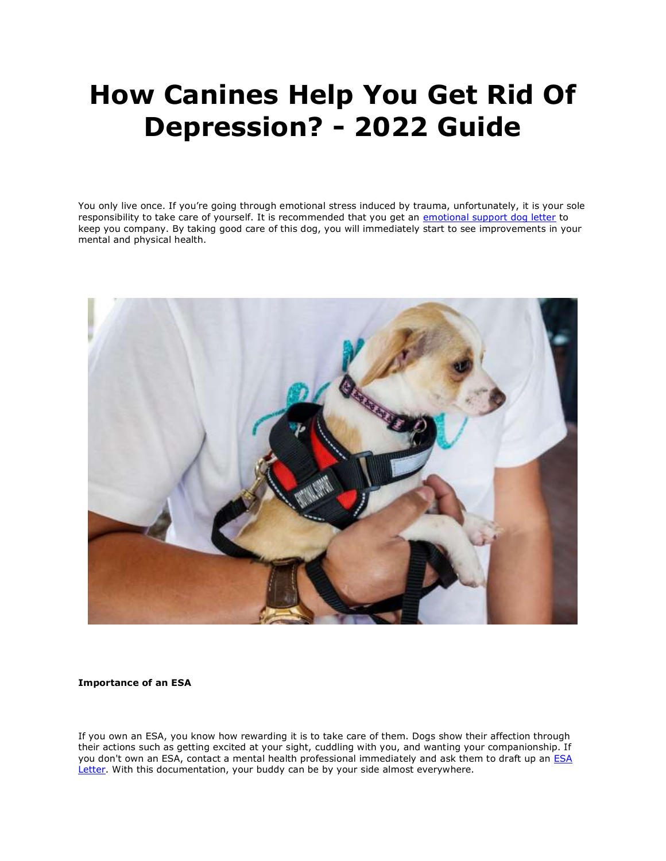# **How Canines Help You Get Rid Of Depression? - 2022 Guide**

You only live once. If you're going through emotional stress induced by trauma, unfortunately, it is your sole responsibility to take care of yourself. It is recommended that you get an [emotional support dog letter](https://myesaletter.net/) to keep you company. By taking good care of this dog, you will immediately start to see improvements in your mental and physical health.



#### **Importance of an ESA**

If you own an ESA, you know how rewarding it is to take care of them. Dogs show their affection through their actions such as getting excited at your sight, cuddling with you, and wanting your companionship. If you don't own an ESA, contact a mental health professional immediately and ask them to draft up an **ESA** [Letter.](https://myesaletter.net/) With this documentation, your buddy can be by your side almost everywhere.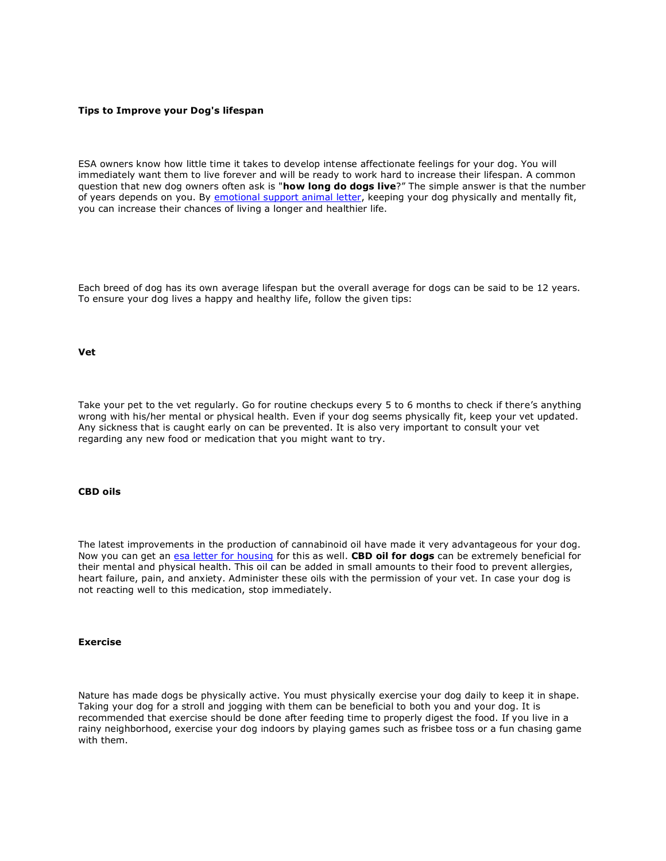#### **Tips to Improve your Dog's lifespan**

ESA owners know how little time it takes to develop intense affectionate feelings for your dog. You will immediately want them to live forever and will be ready to work hard to increase their lifespan. A common question that new dog owners often ask is "**how long do dogs live**?" The simple answer is that the number of years depends on you. By [emotional support animal letter,](https://myesaletter.net/) keeping your dog physically and mentally fit, you can increase their chances of living a longer and healthier life.

Each breed of dog has its own average lifespan but the overall average for dogs can be said to be 12 years. To ensure your dog lives a happy and healthy life, follow the given tips:

#### **Vet**

Take your pet to the vet regularly. Go for routine checkups every 5 to 6 months to check if there's anything wrong with his/her mental or physical health. Even if your dog seems physically fit, keep your vet updated. Any sickness that is caught early on can be prevented. It is also very important to consult your vet regarding any new food or medication that you might want to try.

## **CBD oils**

The latest improvements in the production of cannabinoid oil have made it very advantageous for your dog. Now you can get an [esa letter for housing](https://myesaletter.net/) for this as well. **CBD oil for dogs** can be extremely beneficial for their mental and physical health. This oil can be added in small amounts to their food to prevent allergies, heart failure, pain, and anxiety. Administer these oils with the permission of your vet. In case your dog is not reacting well to this medication, stop immediately.

#### **Exercise**

Nature has made dogs be physically active. You must physically exercise your dog daily to keep it in shape. Taking your dog for a stroll and jogging with them can be beneficial to both you and your dog. It is recommended that exercise should be done after feeding time to properly digest the food. If you live in a rainy neighborhood, exercise your dog indoors by playing games such as frisbee toss or a fun chasing game with them.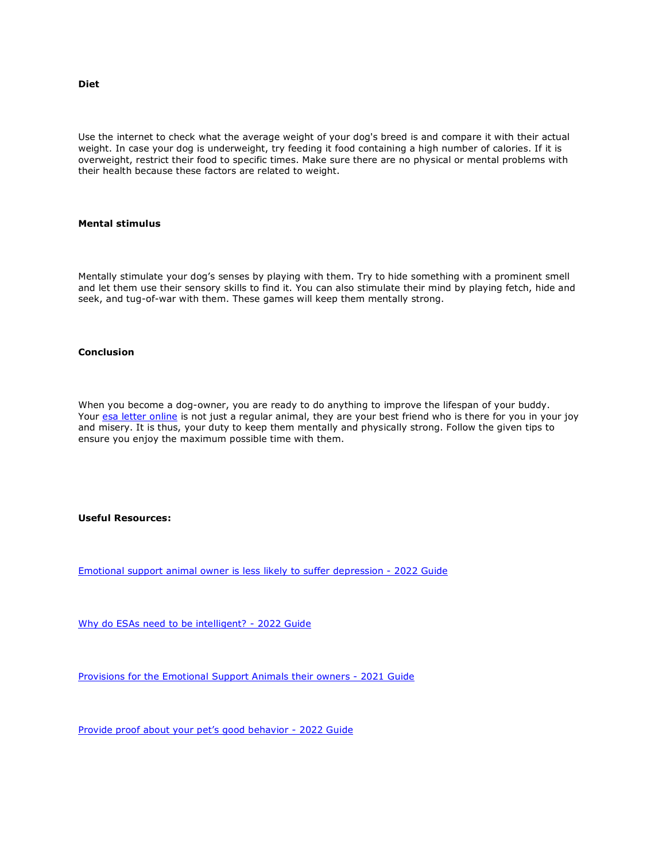**Diet**

Use the internet to check what the average weight of your dog's breed is and compare it with their actual weight. In case your dog is underweight, try feeding it food containing a high number of calories. If it is overweight, restrict their food to specific times. Make sure there are no physical or mental problems with their health because these factors are related to weight.

### **Mental stimulus**

Mentally stimulate your dog's senses by playing with them. Try to hide something with a prominent smell and let them use their sensory skills to find it. You can also stimulate their mind by playing fetch, hide and seek, and tug-of-war with them. These games will keep them mentally strong.

# **Conclusion**

When you become a dog-owner, you are ready to do anything to improve the lifespan of your buddy. Your [esa letter online](https://myesaletter.net/) is not just a regular animal, they are your best friend who is there for you in your joy and misery. It is thus, your duty to keep them mentally and physically strong. Follow the given tips to ensure you enjoy the maximum possible time with them.

# **Useful Resources:**

[Emotional support animal owner is less likely to suffer depression -](https://www.2chicksandahammer.com/profile/davidandrew/profile) 2022 Guide

[Why do ESAs need to be intelligent? -](https://tunebrowser.tikisoft.net/forums/users/richardcarlson/) 2022 Guide

[Provisions for the Emotional Support Animals their owners -](https://www.theartcenter.org/profile/davidandrew/profile) 2021 Guide

[Provide proof about your pet's good behavior](https://timeswriter.com/members/richardcarlson/profile/) - 2022 Guide